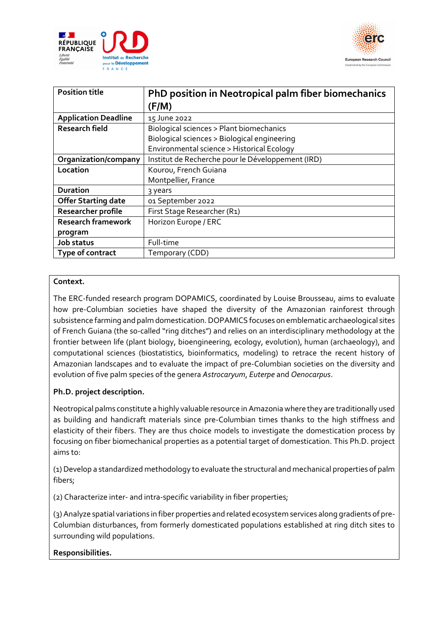



| <b>Position title</b>       | PhD position in Neotropical palm fiber biomechanics |
|-----------------------------|-----------------------------------------------------|
|                             | (F/M)                                               |
| <b>Application Deadline</b> | 15 June 2022                                        |
| <b>Research field</b>       | Biological sciences > Plant biomechanics            |
|                             | Biological sciences > Biological engineering        |
|                             | Environmental science > Historical Ecology          |
| Organization/company        | Institut de Recherche pour le Développement (IRD)   |
| Location                    | Kourou, French Guiana                               |
|                             | Montpellier, France                                 |
| <b>Duration</b>             | 3 years                                             |
| <b>Offer Starting date</b>  | 01 September 2022                                   |
| Researcher profile          | First Stage Researcher (R1)                         |
| <b>Research framework</b>   | Horizon Europe / ERC                                |
| program                     |                                                     |
| Job status                  | Full-time                                           |
| Type of contract            | Temporary (CDD)                                     |

## **Context.**

The ERC-funded research program DOPAMICS, coordinated by Louise Brousseau, aims to evaluate how pre-Columbian societies have shaped the diversity of the Amazonian rainforest through subsistence farming and palm domestication. DOPAMICS focuses on emblematic archaeological sites of French Guiana (the so-called "ring ditches") and relies on an interdisciplinary methodology at the frontier between life (plant biology, bioengineering, ecology, evolution), human (archaeology), and computational sciences (biostatistics, bioinformatics, modeling) to retrace the recent history of Amazonian landscapes and to evaluate the impact of pre-Columbian societies on the diversity and evolution of five palm species of the genera *Astrocaryum*, *Euterpe* and *Oenocarpus*.

# **Ph.D. project description.**

Neotropical palms constitute a highly valuable resource in Amazonia where they are traditionally used as building and handicraft materials since pre-Columbian times thanks to the high stiffness and elasticity of their fibers. They are thus choice models to investigate the domestication process by focusing on fiber biomechanical properties as a potential target of domestication. This Ph.D. project aims to:

(1) Develop a standardized methodology to evaluate the structural and mechanical properties of palm fibers;

(2) Characterize inter- and intra-specific variability in fiber properties;

(3) Analyze spatial variations in fiber properties and related ecosystem services along gradients of pre-Columbian disturbances, from formerly domesticated populations established at ring ditch sites to surrounding wild populations.

## **Responsibilities.**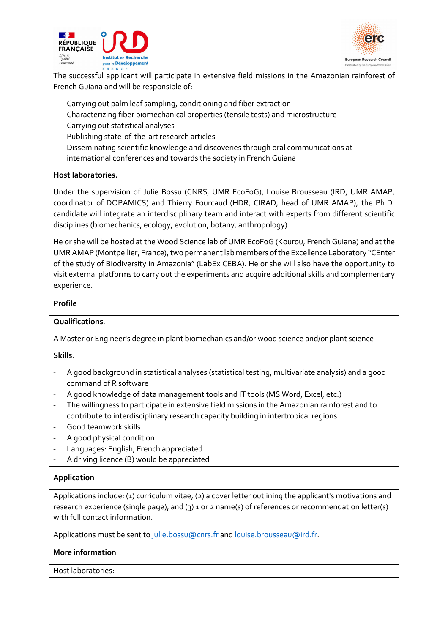



The successful applicant will participate in extensive field missions in the Amazonian rainforest of French Guiana and will be responsible of:

- Carrying out palm leaf sampling, conditioning and fiber extraction
- Characterizing fiber biomechanical properties (tensile tests) and microstructure
- Carrying out statistical analyses
- Publishing state-of-the-art research articles
- Disseminating scientific knowledge and discoveries through oral communications at international conferences and towards the society in French Guiana

## **Host laboratories.**

Under the supervision of Julie Bossu (CNRS, UMR EcoFoG), Louise Brousseau (IRD, UMR AMAP, coordinator of DOPAMICS) and Thierry Fourcaud (HDR, CIRAD, head of UMR AMAP), the Ph.D. candidate will integrate an interdisciplinary team and interact with experts from different scientific disciplines (biomechanics, ecology, evolution, botany, anthropology).

He or she will be hosted at the Wood Science lab of UMR EcoFoG (Kourou, French Guiana) and at the UMR AMAP (Montpellier, France), two permanent lab members of the Excellence Laboratory "CEnter of the study of Biodiversity in Amazonia" (LabEx CEBA). He or she will also have the opportunity to visit external platforms to carry out the experiments and acquire additional skills and complementary experience.

## **Profile**

## **Qualifications**.

A Master or Engineer's degree in plant biomechanics and/or wood science and/or plant science

**Skills**.

- A good background in statistical analyses (statistical testing, multivariate analysis) and a good command of R software
- A good knowledge of data management tools and IT tools (MS Word, Excel, etc.)
- The willingness to participate in extensive field missions in the Amazonian rainforest and to contribute to interdisciplinary research capacity building in intertropical regions
- Good teamwork skills
- A good physical condition
- Languages: English, French appreciated
- A driving licence (B) would be appreciated

## **Application**

Applications include: (1) curriculum vitae, (2) a cover letter outlining the applicant's motivations and research experience (single page), and (3) 1 or 2 name(s) of references or recommendation letter(s) with full contact information.

Applications must be sent to julie.bossu@cnrs.fr and louise.brousseau@ird.fr.

## **More information**

Host laboratories: